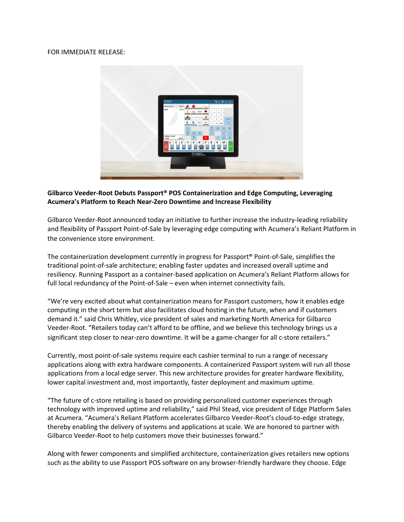## FOR IMMEDIATE RELEASE:



# **Gilbarco Veeder-Root Debuts Passport® POS Containerization and Edge Computing, Leveraging Acumera's Platform to Reach Near-Zero Downtime and Increase Flexibility**

Gilbarco Veeder-Root announced today an initiative to further increase the industry-leading reliability and flexibility of Passport Point-of-Sale by leveraging edge computing with Acumera's Reliant Platform in the convenience store environment.

The containerization development currently in progress for Passport® Point-of-Sale, simplifies the traditional point-of-sale architecture; enabling faster updates and increased overall uptime and resiliency. Running Passport as a container-based application on Acumera's Reliant Platform allows for full local redundancy of the Point-of-Sale – even when internet connectivity fails.

"We're very excited about what containerization means for Passport customers, how it enables edge computing in the short term but also facilitates cloud hosting in the future, when and if customers demand it." said Chris Whitley, vice president of sales and marketing North America for Gilbarco Veeder-Root. "Retailers today can't afford to be offline, and we believe this technology brings us a significant step closer to near-zero downtime. It will be a game-changer for all c-store retailers."

Currently, most point-of-sale systems require each cashier terminal to run a range of necessary applications along with extra hardware components. A containerized Passport system will run all those applications from a local edge server. This new architecture provides for greater hardware flexibility, lower capital investment and, most importantly, faster deployment and maximum uptime.

"The future of c-store retailing is based on providing personalized customer experiences through technology with improved uptime and reliability," said Phil Stead, vice president of Edge Platform Sales at Acumera. "Acumera's Reliant Platform accelerates Gilbarco Veeder-Root's cloud-to-edge strategy, thereby enabling the delivery of systems and applications at scale. We are honored to partner with Gilbarco Veeder-Root to help customers move their businesses forward."

Along with fewer components and simplified architecture, containerization gives retailers new options such as the ability to use Passport POS software on any browser-friendly hardware they choose. Edge